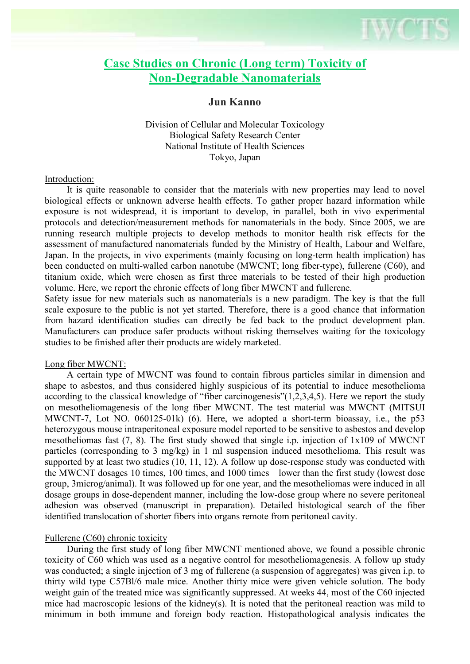# **Case Studies on Chronic (Long term) Toxicity of Non-Degradable Nanomaterials**

## **Jun Kanno**

Division of Cellular and Molecular Toxicology Biological Safety Research Center National Institute of Health Sciences Tokyo, Japan

#### Introduction:

 It is quite reasonable to consider that the materials with new properties may lead to novel biological effects or unknown adverse health effects. To gather proper hazard information while exposure is not widespread, it is important to develop, in parallel, both in vivo experimental protocols and detection/measurement methods for nanomaterials in the body. Since 2005, we are running research multiple projects to develop methods to monitor health risk effects for the assessment of manufactured nanomaterials funded by the Ministry of Health, Labour and Welfare, Japan. In the projects, in vivo experiments (mainly focusing on long-term health implication) has been conducted on multi-walled carbon nanotube (MWCNT; long fiber-type), fullerene (C60), and titanium oxide, which were chosen as first three materials to be tested of their high production volume. Here, we report the chronic effects of long fiber MWCNT and fullerene.

Safety issue for new materials such as nanomaterials is a new paradigm. The key is that the full scale exposure to the public is not yet started. Therefore, there is a good chance that information from hazard identification studies can directly be fed back to the product development plan. Manufacturers can produce safer products without risking themselves waiting for the toxicology studies to be finished after their products are widely marketed.

#### Long fiber MWCNT:

 A certain type of MWCNT was found to contain fibrous particles similar in dimension and shape to asbestos, and thus considered highly suspicious of its potential to induce mesothelioma according to the classical knowledge of "fiber carcinogenesis"(1,2,3,4,5). Here we report the study on mesotheliomagenesis of the long fiber MWCNT. The test material was MWCNT (MITSUI MWCNT-7, Lot NO. 060125-01k) (6). Here, we adopted a short-term bioassay, i.e., the p53 heterozygous mouse intraperitoneal exposure model reported to be sensitive to asbestos and develop mesotheliomas fast (7, 8). The first study showed that single i.p. injection of 1x109 of MWCNT particles (corresponding to 3 mg/kg) in 1 ml suspension induced mesothelioma. This result was supported by at least two studies (10, 11, 12). A follow up dose-response study was conducted with the MWCNT dosages 10 times, 100 times, and 1000 times lower than the first study (lowest dose group, 3microg/animal). It was followed up for one year, and the mesotheliomas were induced in all dosage groups in dose-dependent manner, including the low-dose group where no severe peritoneal adhesion was observed (manuscript in preparation). Detailed histological search of the fiber identified translocation of shorter fibers into organs remote from peritoneal cavity.

### Fullerene (C60) chronic toxicity

 During the first study of long fiber MWCNT mentioned above, we found a possible chronic toxicity of C60 which was used as a negative control for mesotheliomagenesis. A follow up study was conducted; a single injection of 3 mg of fullerene (a suspension of aggregates) was given i.p. to thirty wild type C57Bl/6 male mice. Another thirty mice were given vehicle solution. The body weight gain of the treated mice was significantly suppressed. At weeks 44, most of the C60 injected mice had macroscopic lesions of the kidney(s). It is noted that the peritoneal reaction was mild to minimum in both immune and foreign body reaction. Histopathological analysis indicates the